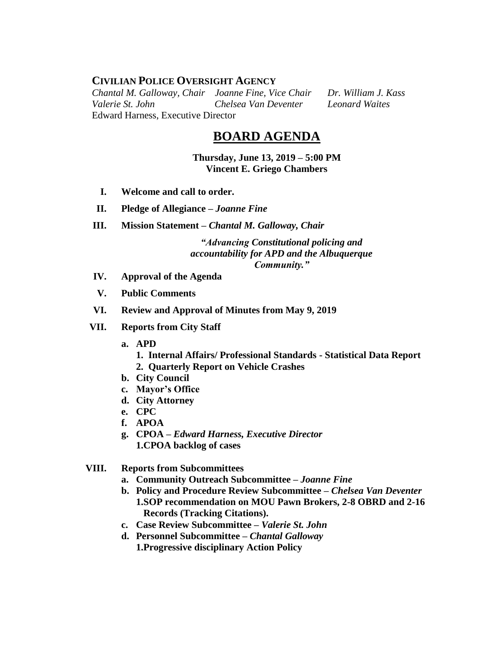# **CIVILIAN POLICE OVERSIGHT AGENCY**

*Chantal M. Galloway, Chair Joanne Fine, Vice Chair Dr. William J. Kass Valerie St. John Chelsea Van Deventer Leonard Waites* Edward Harness, Executive Director

# **BOARD AGENDA**

**Thursday, June 13, 2019 – 5:00 PM Vincent E. Griego Chambers**

- **I. Welcome and call to order.**
- **II. Pledge of Allegiance –** *Joanne Fine*
- **III. Mission Statement –** *Chantal M. Galloway, Chair*

*"Advancing Constitutional policing and accountability for APD and the Albuquerque Community."*

- **IV. Approval of the Agenda**
- **V. Public Comments**
- **VI. Review and Approval of Minutes from May 9, 2019**
- **VII. Reports from City Staff**
	- **a. APD**
		- **1. Internal Affairs/ Professional Standards - Statistical Data Report 2. Quarterly Report on Vehicle Crashes**
	- **b. City Council**
	- **c. Mayor's Office**
	- **d. City Attorney**
	- **e. CPC**
	- **f. APOA**
	- **g. CPOA –** *Edward Harness, Executive Director* **1.CPOA backlog of cases**

## **VIII. Reports from Subcommittees**

- **a. Community Outreach Subcommittee –** *Joanne Fine*
- **b. Policy and Procedure Review Subcommittee –** *Chelsea Van Deventer* **1.SOP recommendation on MOU Pawn Brokers, 2-8 OBRD and 2-16 Records (Tracking Citations).**
- **c. Case Review Subcommittee –** *Valerie St. John*
- **d. Personnel Subcommittee** *– Chantal Galloway* **1.Progressive disciplinary Action Policy**